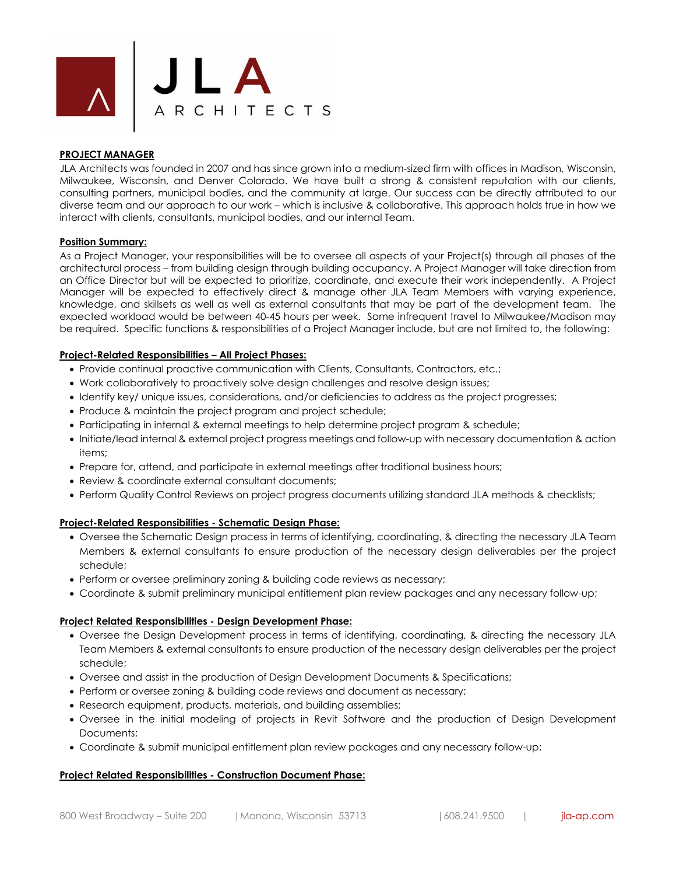

## **PROJECT MANAGER**

JLA Architects was founded in 2007 and has since grown into a medium-sized firm with offices in Madison, Wisconsin, Milwaukee, Wisconsin, and Denver Colorado. We have built a strong & consistent reputation with our clients, consulting partners, municipal bodies, and the community at large. Our success can be directly attributed to our diverse team and our approach to our work – which is inclusive & collaborative. This approach holds true in how we interact with clients, consultants, municipal bodies, and our internal Team.

## **Position Summary:**

As a Project Manager, your responsibilities will be to oversee all aspects of your Project(s) through all phases of the architectural process – from building design through building occupancy. A Project Manager will take direction from an Office Director but will be expected to prioritize, coordinate, and execute their work independently. A Project Manager will be expected to effectively direct & manage other JLA Team Members with varying experience, knowledge, and skillsets as well as well as external consultants that may be part of the development team. The expected workload would be between 40-45 hours per week. Some infrequent travel to Milwaukee/Madison may be required. Specific functions & responsibilities of a Project Manager include, but are not limited to, the following:

## **Project-Related Responsibilities – All Project Phases:**

- Provide continual proactive communication with Clients, Consultants, Contractors, etc.;
- Work collaboratively to proactively solve design challenges and resolve design issues;
- Identify key/ unique issues, considerations, and/or deficiencies to address as the project progresses;
- Produce & maintain the project program and project schedule;
- Participating in internal & external meetings to help determine project program & schedule;
- Initiate/lead internal & external project progress meetings and follow-up with necessary documentation & action items;
- Prepare for, attend, and participate in external meetings after traditional business hours;
- Review & coordinate external consultant documents;
- Perform Quality Control Reviews on project progress documents utilizing standard JLA methods & checklists;

## **Project-Related Responsibilities - Schematic Design Phase:**

- Oversee the Schematic Design process in terms of identifying, coordinating, & directing the necessary JLA Team Members & external consultants to ensure production of the necessary design deliverables per the project schedule;
- Perform or oversee preliminary zoning & building code reviews as necessary;
- Coordinate & submit preliminary municipal entitlement plan review packages and any necessary follow-up;

## **Project Related Responsibilities - Design Development Phase:**

- Oversee the Design Development process in terms of identifying, coordinating, & directing the necessary JLA Team Members & external consultants to ensure production of the necessary design deliverables per the project schedule;
- Oversee and assist in the production of Design Development Documents & Specifications;
- Perform or oversee zoning & building code reviews and document as necessary;
- Research equipment, products, materials, and building assemblies;
- Oversee in the initial modeling of projects in Revit Software and the production of Design Development Documents;
- Coordinate & submit municipal entitlement plan review packages and any necessary follow-up;

#### **Project Related Responsibilities - Construction Document Phase:**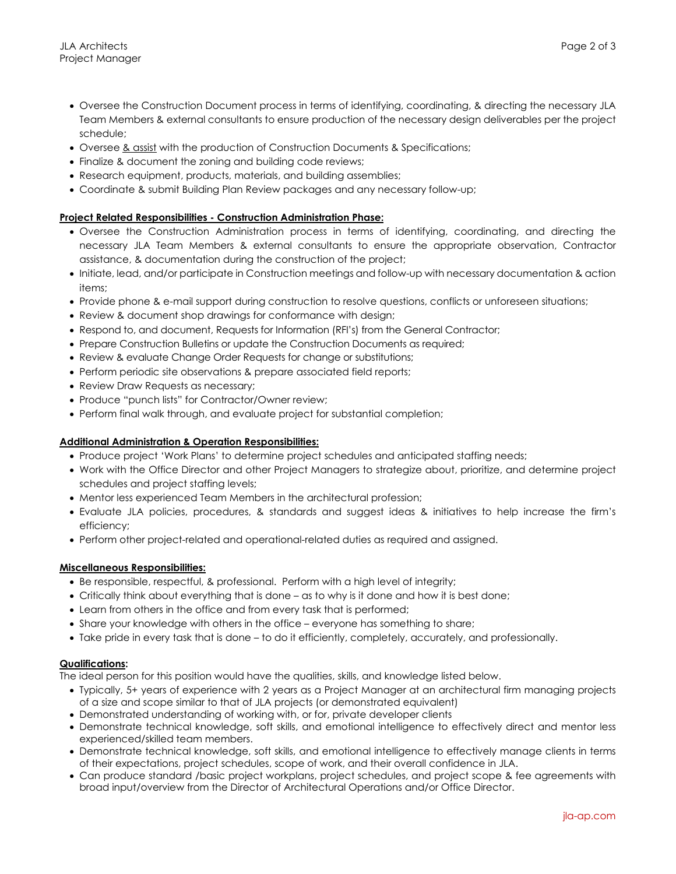- Oversee the Construction Document process in terms of identifying, coordinating, & directing the necessary JLA Team Members & external consultants to ensure production of the necessary design deliverables per the project schedule;
- Oversee & assist with the production of Construction Documents & Specifications;
- Finalize & document the zoning and building code reviews;
- Research equipment, products, materials, and building assemblies;
- Coordinate & submit Building Plan Review packages and any necessary follow-up;

## **Project Related Responsibilities - Construction Administration Phase:**

- Oversee the Construction Administration process in terms of identifying, coordinating, and directing the necessary JLA Team Members & external consultants to ensure the appropriate observation, Contractor assistance, & documentation during the construction of the project;
- Initiate, lead, and/or participate in Construction meetings and follow-up with necessary documentation & action items;
- Provide phone & e-mail support during construction to resolve questions, conflicts or unforeseen situations;
- Review & document shop drawings for conformance with design;
- Respond to, and document, Requests for Information (RFI's) from the General Contractor;
- Prepare Construction Bulletins or update the Construction Documents as required;
- Review & evaluate Change Order Requests for change or substitutions;
- Perform periodic site observations & prepare associated field reports;
- Review Draw Requests as necessary;
- Produce "punch lists" for Contractor/Owner review;
- Perform final walk through, and evaluate project for substantial completion;

## **Additional Administration & Operation Responsibilities:**

- Produce project 'Work Plans' to determine project schedules and anticipated staffing needs;
- Work with the Office Director and other Project Managers to strategize about, prioritize, and determine project schedules and project staffing levels;
- Mentor less experienced Team Members in the architectural profession;
- Evaluate JLA policies, procedures, & standards and suggest ideas & initiatives to help increase the firm's efficiency;
- Perform other project-related and operational-related duties as required and assigned.

## **Miscellaneous Responsibilities:**

- Be responsible, respectful, & professional. Perform with a high level of integrity;
- Critically think about everything that is done as to why is it done and how it is best done;
- Learn from others in the office and from every task that is performed;
- Share your knowledge with others in the office everyone has something to share;
- Take pride in every task that is done to do it efficiently, completely, accurately, and professionally.

## **Qualifications:**

The ideal person for this position would have the qualities, skills, and knowledge listed below.

- Typically, 5+ years of experience with 2 years as a Project Manager at an architectural firm managing projects of a size and scope similar to that of JLA projects (or demonstrated equivalent)
- Demonstrated understanding of working with, or for, private developer clients
- Demonstrate technical knowledge, soft skills, and emotional intelligence to effectively direct and mentor less experienced/skilled team members.
- Demonstrate technical knowledge, soft skills, and emotional intelligence to effectively manage clients in terms of their expectations, project schedules, scope of work, and their overall confidence in JLA.
- Can produce standard /basic project workplans, project schedules, and project scope & fee agreements with broad input/overview from the Director of Architectural Operations and/or Office Director.